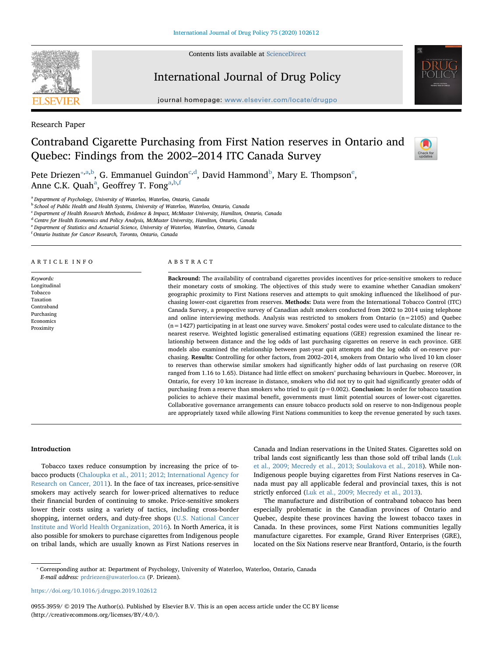

Contents lists available at [ScienceDirect](http://www.sciencedirect.com/science/journal/09553959)

# International Journal of Drug Policy



journal homepage: [www.elsevier.com/locate/drugpo](https://www.elsevier.com/locate/drugpo)

Research Paper

# Contraband Cigarette Purchasing from First Nation reserves in Ontario and Quebec: Findings from the 2002–2014 ITC Canada Survey



P[e](#page-0-5)te Driezen $^{\ast,\mathrm{a},\mathrm{b}}$  $^{\ast,\mathrm{a},\mathrm{b}}$  $^{\ast,\mathrm{a},\mathrm{b}}$ , G. Emmanuel Guin[d](#page-0-4)on $^{\mathrm{c},\mathrm{d}}$  $^{\mathrm{c},\mathrm{d}}$  $^{\mathrm{c},\mathrm{d}}$ , David Hammond $^{\mathrm{b}}$ , Mary E. Thompson $^{\mathrm{e}}$ , Anne C.K. Qu[a](#page-0-1)h<sup>a</sup>, Geoffrey T. Fong<sup>a,[b](#page-0-2)[,f](#page-0-6)</sup>

<span id="page-0-1"></span><sup>a</sup> Department of Psychology, University of Waterloo, Waterloo, Ontario, Canada

<span id="page-0-2"></span><sup>b</sup> School of Public Health and Health Systems, University of Waterloo, Waterloo, Ontario, Canada

<span id="page-0-3"></span><sup>c</sup> Department of Health Research Methods, Evidence & Impact, McMaster University, Hamilton, Ontario, Canada

<span id="page-0-4"></span><sup>d</sup> Centre for Health Economics and Policy Analysis, McMaster University, Hamilton, Ontario, Canada

<span id="page-0-5"></span><sup>e</sup> Department of Statistics and Actuarial Science, University of Waterloo, Waterloo, Ontario, Canada

<span id="page-0-6"></span>f Ontario Institute for Cancer Research, Toronto, Ontario, Canada

#### ARTICLE INFO

Keywords: Longitudinal Tobacco Taxation Contraband Purchasing Economics Proximity

#### ABSTRACT

Backround: The availability of contraband cigarettes provides incentives for price-sensitive smokers to reduce their monetary costs of smoking. The objectives of this study were to examine whether Canadian smokers' geographic proximity to First Nations reserves and attempts to quit smoking influenced the likelihood of purchasing lower-cost cigarettes from reserves. Methods: Data were from the International Tobacco Control (ITC) Canada Survey, a prospective survey of Canadian adult smokers conducted from 2002 to 2014 using telephone and online interviewing methods. Analysis was restricted to smokers from Ontario  $(n=2105)$  and Ouebec  $(n=1427)$  participating in at least one survey wave. Smokers' postal codes were used to calculate distance to the nearest reserve. Weighted logistic generalised estimating equations (GEE) regression examined the linear relationship between distance and the log odds of last purchasing cigarettes on reserve in each province. GEE models also examined the relationship between past-year quit attempts and the log odds of on-reserve purchasing. Results: Controlling for other factors, from 2002–2014, smokers from Ontario who lived 10 km closer to reserves than otherwise similar smokers had significantly higher odds of last purchasing on reserve (OR ranged from 1.16 to 1.65). Distance had little effect on smokers' purchasing behaviours in Quebec. Moreover, in Ontario, for every 10 km increase in distance, smokers who did not try to quit had significantly greater odds of purchasing from a reserve than smokers who tried to quit ( $p = 0.002$ ). **Conclusion:** In order for tobacco taxation policies to achieve their maximal benefit, governments must limit potential sources of lower-cost cigarettes. Collaborative governance arrangements can ensure tobacco products sold on reserve to non-Indigenous people are appropriately taxed while allowing First Nations communities to keep the revenue generated by such taxes.

## Introduction

Tobacco taxes reduce consumption by increasing the price of tobacco products ([Chaloupka et al., 2011; 2012; International Agency for](#page-8-0) [Research on Cancer, 2011](#page-8-0)). In the face of tax increases, price-sensitive smokers may actively search for lower-priced alternatives to reduce their financial burden of continuing to smoke. Price-sensitive smokers lower their costs using a variety of tactics, including cross-border shopping, internet orders, and duty-free shops ([U.S. National Cancer](#page-9-0) [Institute and World Health Organization, 2016](#page-9-0)). In North America, it is also possible for smokers to purchase cigarettes from Indigenous people on tribal lands, which are usually known as First Nations reserves in Canada and Indian reservations in the United States. Cigarettes sold on tribal lands cost significantly less than those sold off tribal lands ([Luk](#page-8-1) [et al., 2009; Mecredy et al., 2013; Soulakova et al., 2018\)](#page-8-1). While non-Indigenous people buying cigarettes from First Nations reserves in Canada must pay all applicable federal and provincial taxes, this is not strictly enforced ([Luk et al., 2009; Mecredy et al., 2013](#page-8-1)).

The manufacture and distribution of contraband tobacco has been especially problematic in the Canadian provinces of Ontario and Quebec, despite these provinces having the lowest tobacco taxes in Canada. In these provinces, some First Nations communities legally manufacture cigarettes. For example, Grand River Enterprises (GRE), located on the Six Nations reserve near Brantford, Ontario, is the fourth

0955-3959/ © 2019 The Author(s). Published by Elsevier B.V. This is an open access article under the CC BY license (http://creativecommons.org/licenses/BY/4.0/).

<span id="page-0-0"></span><sup>⁎</sup> Corresponding author at: Department of Psychology, University of Waterloo, Waterloo, Ontario, Canada E-mail address: [prdriezen@uwaterloo.ca](mailto:prdriezen@uwaterloo.ca) (P. Driezen).

<https://doi.org/10.1016/j.drugpo.2019.102612>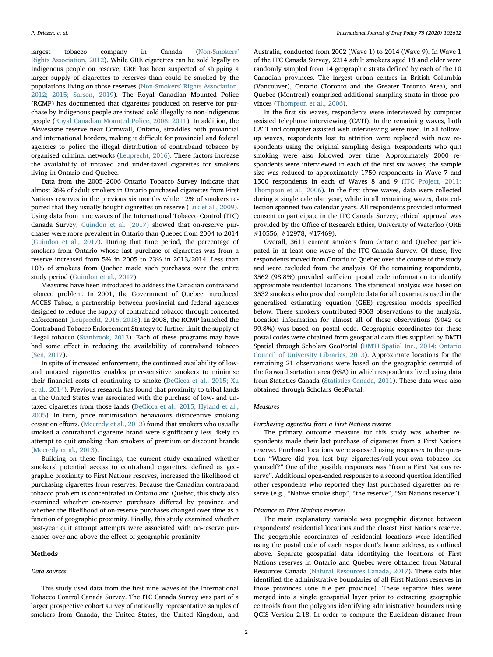largest tobacco company in Canada ([Non-Smokers](#page-8-2)' [Rights Association, 2012\)](#page-8-2). While GRE cigarettes can be sold legally to Indigenous people on reserve, GRE has been suspected of shipping a larger supply of cigarettes to reserves than could be smoked by the populations living on those reserves (Non-Smokers' [Rights Association,](#page-8-2) [2012; 2015; Sarson, 2019](#page-8-2)). The Royal Canadian Mounted Police (RCMP) has documented that cigarettes produced on reserve for purchase by Indigenous people are instead sold illegally to non-Indigenous people ([Royal Canadian Mounted Police, 2008; 2011\)](#page-9-1). In addition, the Akwesasne reserve near Cornwall, Ontario, straddles both provincial and international borders, making it difficult for provincial and federal agencies to police the illegal distribution of contraband tobacco by organised criminal networks ([Leuprecht, 2016\)](#page-8-3). These factors increase the availability of untaxed and under-taxed cigarettes for smokers living in Ontario and Quebec.

Data from the 2005–2006 Ontario Tobacco Survey indicate that almost 26% of adult smokers in Ontario purchased cigarettes from First Nations reserves in the previous six months while 12% of smokers reported that they usually bought cigarettes on reserve [\(Luk et al., 2009](#page-8-1)). Using data from nine waves of the International Tobacco Control (ITC) Canada Survey, [Guindon et al. \(2017\)](#page-8-4) showed that on-reserve purchases were more prevalent in Ontario than Quebec from 2004 to 2014 ([Guindon et al., 2017\)](#page-8-4). During that time period, the percentage of smokers from Ontario whose last purchase of cigarettes was from a reserve increased from 5% in 2005 to 23% in 2013/2014. Less than 10% of smokers from Quebec made such purchases over the entire study period ([Guindon et al., 2017\)](#page-8-4).

Measures have been introduced to address the Canadian contraband tobacco problem. In 2001, the Government of Quebec introduced ACCES Tabac, a partnership between provincial and federal agencies designed to reduce the supply of contraband tobacco through concerted enforcement ([Leuprecht, 2016; 2018\)](#page-8-3). In 2008, the RCMP launched the Contraband Tobacco Enforcement Strategy to further limit the supply of illegal tobacco [\(Stanbrook, 2013\)](#page-9-2). Each of these programs may have had some effect in reducing the availability of contraband tobacco ([Sen, 2017](#page-9-3)).

In spite of increased enforcement, the continued availability of lowand untaxed cigarettes enables price-sensitive smokers to minimise their financial costs of continuing to smoke ([DeCicca et al., 2015; Xu](#page-8-5) [et al., 2014\)](#page-8-5). Previous research has found that proximity to tribal lands in the United States was associated with the purchase of low- and untaxed cigarettes from those lands [\(DeCicca et al., 2015; Hyland et al.,](#page-8-5) [2005\)](#page-8-5). In turn, price minimisation behaviours disincentive smoking cessation efforts. [\(Mecredy et al., 2013\)](#page-8-6) found that smokers who usually smoked a contraband cigarette brand were significantly less likely to attempt to quit smoking than smokers of premium or discount brands ([Mecredy et al., 2013](#page-8-6)).

Building on these findings, the current study examined whether smokers' potential access to contraband cigarettes, defined as geographic proximity to First Nations reserves, increased the likelihood of purchasing cigarettes from reserves. Because the Canadian contraband tobacco problem is concentrated in Ontario and Quebec, this study also examined whether on-reserve purchases differed by province and whether the likelihood of on-reserve purchases changed over time as a function of geographic proximity. Finally, this study examined whether past-year quit attempt attempts were associated with on-reserve purchases over and above the effect of geographic proximity.

# Methods

### Data sources

In the first six waves, respondents were interviewed by computer

vinces [\(Thompson et al., 2006\)](#page-9-4).

assisted telephone interviewing (CATI). In the remaining waves, both CATI and computer assisted web interviewing were used. In all followup waves, respondents lost to attrition were replaced with new respondents using the original sampling design. Respondents who quit smoking were also followed over time. Approximately 2000 respondents were interviewed in each of the first six waves; the sample size was reduced to approximately 1750 respondents in Wave 7 and 1500 respondents in each of Waves 8 and 9 [\(ITC Project, 2011;](#page-8-7) [Thompson et al., 2006\)](#page-8-7). In the first three waves, data were collected during a single calendar year, while in all remaining waves, data collection spanned two calendar years. All respondents provided informed consent to participate in the ITC Canada Survey; ethical approval was provided by the Office of Research Ethics, University of Waterloo (ORE #10556, #12978, #17469).

Australia, conducted from 2002 (Wave 1) to 2014 (Wave 9). In Wave 1 of the ITC Canada Survey, 2214 adult smokers aged 18 and older were randomly sampled from 14 geographic strata defined by each of the 10 Canadian provinces. The largest urban centres in British Columbia (Vancouver), Ontario (Toronto and the Greater Toronto Area), and Quebec (Montreal) comprised additional sampling strata in those pro-

Overall, 3611 current smokers from Ontario and Quebec participated in at least one wave of the ITC Canada Survey. Of these, five respondents moved from Ontario to Quebec over the course of the study and were excluded from the analysis. Of the remaining respondents, 3562 (98.8%) provided sufficient postal code information to identify approximate residential locations. The statistical analysis was based on 3532 smokers who provided complete data for all covariates used in the generalised estimating equation (GEE) regression models specified below. These smokers contributed 9063 observations to the analysis. Location information for almost all of these observations (9042 or 99.8%) was based on postal code. Geographic coordinates for these postal codes were obtained from geospatial data files supplied by DMTI Spatial through Scholars GeoPortal ([DMTI Spatial Inc., 2014; Ontario](#page-8-8) [Council of University Libraries, 2013\)](#page-8-8). Approximate locations for the remaining 21 observations were based on the geographic centroid of the forward sortation area (FSA) in which respondents lived using data from Statistics Canada ([Statistics Canada, 2011\)](#page-9-5). These data were also obtained through Scholars GeoPortal.

## Measures

## Purchasing cigarettes from a First Nations reserve

The primary outcome measure for this study was whether respondents made their last purchase of cigarettes from a First Nations reserve. Purchase locations were assessed using responses to the question "Where did you last buy cigarettes/roll-your-own tobacco for yourself?" One of the possible responses was "from a First Nations reserve". Additional open-ended responses to a second question identified other respondents who reported they last purchased cigarettes on reserve (e.g., "Native smoke shop", "the reserve", "Six Nations reserve").

## Distance to First Nations reserves

The main explanatory variable was geographic distance between respondents' residential locations and the closest First Nations reserve. The geographic coordinates of residential locations were identified using the postal code of each respondent's home address, as outlined above. Separate geospatial data identifying the locations of First Nations reserves in Ontario and Quebec were obtained from Natural Resources Canada ([Natural Resources Canada, 2017\)](#page-8-9). These data files identified the administrative boundaries of all First Nations reserves in those provinces (one file per province). These separate files were merged into a single geospatial layer prior to extracting geographic centroids from the polygons identifying administrative bounders using QGIS Version 2.18. In order to compute the Euclidean distance from

This study used data from the first nine waves of the International Tobacco Control Canada Survey. The ITC Canada Survey was part of a larger prospective cohort survey of nationally representative samples of smokers from Canada, the United States, the United Kingdom, and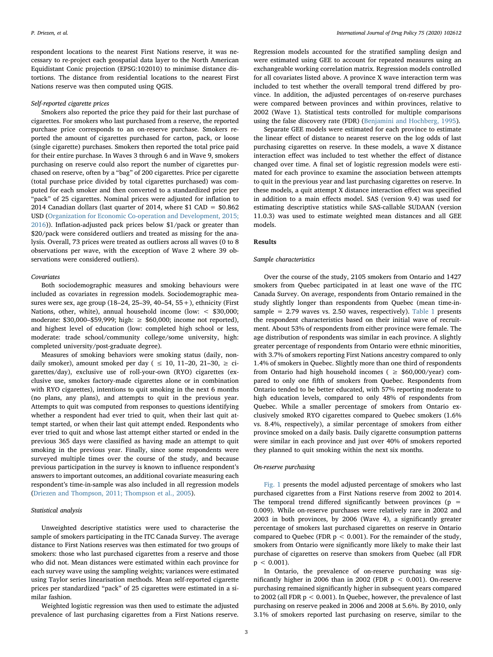respondent locations to the nearest First Nations reserve, it was necessary to re-project each geospatial data layer to the North American Equidistant Conic projection (EPSG:102010) to minimise distance distortions. The distance from residential locations to the nearest First Nations reserve was then computed using QGIS.

### Self-reported cigarette prices

Smokers also reported the price they paid for their last purchase of cigarettes. For smokers who last purchased from a reserve, the reported purchase price corresponds to an on-reserve purchase. Smokers reported the amount of cigarettes purchased for carton, pack, or loose (single cigarette) purchases. Smokers then reported the total price paid for their entire purchase. In Waves 3 through 6 and in Wave 9, smokers purchasing on reserve could also report the number of cigarettes purchased on reserve, often by a "bag" of 200 cigarettes. Price per cigarette (total purchase price divided by total cigarettes purchased) was computed for each smoker and then converted to a standardized price per "pack" of 25 cigarettes. Nominal prices were adjusted for inflation to 2014 Canadian dollars (last quarter of 2014, where \$1 CAD = \$0.862 USD [\(Organization for Economic Co-operation and Development, 2015;](#page-9-6) [2016\)](#page-9-6)). Inflation-adjusted pack prices below \$1/pack or greater than \$20/pack were considered outliers and treated as missing for the analysis. Overall, 73 prices were treated as outliers across all waves (0 to 8 observations per wave, with the exception of Wave 2 where 39 observations were considered outliers).

#### Covariates

Both sociodemographic measures and smoking behaviours were included as covariates in regression models. Sociodemographic measures were sex, age group (18–24, 25–39, 40–54, 55+), ethnicity (First Nations, other, white), annual household income (low: < \$30,000; moderate: \$30,000–\$59,999; high: ≥ \$60,000; income not reported), and highest level of education (low: completed high school or less, moderate: trade school/community college/some university, high: completed university/post-graduate degree).

Measures of smoking behaviors were smoking status (daily, nondaily smoker), amount smoked per day (  $\leq$  10, 11–20, 21–30,  $\geq$  cigarettes/day), exclusive use of roll-your-own (RYO) cigarettes (exclusive use, smokes factory-made cigarettes alone or in combination with RYO cigarettes), intentions to quit smoking in the next 6 months (no plans, any plans), and attempts to quit in the previous year. Attempts to quit was computed from responses to questions identifying whether a respondent had ever tried to quit, when their last quit attempt started, or when their last quit attempt ended. Respondents who ever tried to quit and whose last attempt either started or ended in the previous 365 days were classified as having made an attempt to quit smoking in the previous year. Finally, since some respondents were surveyed multiple times over the course of the study, and because previous participation in the survey is known to influence respondent's answers to important outcomes, an additional covariate measuring each respondent's time-in-sample was also included in all regression models ([Driezen and Thompson, 2011; Thompson et al., 2005](#page-8-10)).

# Statistical analysis

Unweighted descriptive statistics were used to characterise the sample of smokers participating in the ITC Canada Survey. The average distance to First Nations reserves was then estimated for two groups of smokers: those who last purchased cigarettes from a reserve and those who did not. Mean distances were estimated within each province for each survey wave using the sampling weights; variances were estimated using Taylor series linearisation methods. Mean self-reported cigarette prices per standardized "pack" of 25 cigarettes were estimated in a similar fashion.

Weighted logistic regression was then used to estimate the adjusted prevalence of last purchasing cigarettes from a First Nations reserve.

Regression models accounted for the stratified sampling design and were estimated using GEE to account for repeated measures using an exchangeable working correlation matrix. Regression models controlled for all covariates listed above. A province X wave interaction term was included to test whether the overall temporal trend differed by province. In addition, the adjusted percentages of on-reserve purchases were compared between provinces and within provinces, relative to 2002 (Wave 1). Statistical tests controlled for multiple comparisons using the false discovery rate (FDR) [\(Benjamini and Hochberg, 1995](#page-8-11)).

Separate GEE models were estimated for each province to estimate the linear effect of distance to nearest reserve on the log odds of last purchasing cigarettes on reserve. In these models, a wave X distance interaction effect was included to test whether the effect of distance changed over time. A final set of logistic regression models were estimated for each province to examine the association between attempts to quit in the previous year and last purchasing cigarettes on reserve. In these models, a quit attempt X distance interaction effect was specified in addition to a main effects model. SAS (version 9.4) was used for estimating descriptive statistics while SAS-callable SUDAAN (version 11.0.3) was used to estimate weighted mean distances and all GEE models.

# Results

## Sample characteristics

Over the course of the study, 2105 smokers from Ontario and 1427 smokers from Quebec participated in at least one wave of the ITC Canada Survey. On average, respondents from Ontario remained in the study slightly longer than respondents from Quebec (mean time-insample = 2.79 waves vs. 2.50 waves, respectively). [Table 1](#page-3-0) presents the respondent characteristics based on their initial wave of recruitment. About 53% of respondents from either province were female. The age distribution of respondents was similar in each province. A slightly greater percentage of respondents from Ontario were ethnic minorities, with 3.7% of smokers reporting First Nations ancestry compared to only 1.4% of smokers in Quebec. Slightly more than one third of respondents from Ontario had high household incomes ( $\geq$  \$60,000/year) compared to only one fifth of smokers from Quebec. Respondents from Ontario tended to be better educated, with 57% reporting moderate to high education levels, compared to only 48% of respondents from Quebec. While a smaller percentage of smokers from Ontario exclusively smoked RYO cigarettes compared to Quebec smokers (1.6% vs. 8.4%, respectively), a similar percentage of smokers from either province smoked on a daily basis. Daily cigarette consumption patterns were similar in each province and just over 40% of smokers reported they planned to quit smoking within the next six months.

## On-reserve purchasing

[Fig. 1](#page-4-0) presents the model adjusted percentage of smokers who last purchased cigarettes from a First Nations reserve from 2002 to 2014. The temporal trend differed significantly between provinces ( $p =$ 0.009). While on-reserve purchases were relatively rare in 2002 and 2003 in both provinces, by 2006 (Wave 4), a significantly greater percentage of smokers last purchased cigarettes on reserve in Ontario compared to Quebec (FDR  $p < 0.001$ ). For the remainder of the study, smokers from Ontario were significantly more likely to make their last purchase of cigarettes on reserve than smokers from Quebec (all FDR  $p < 0.001$ ).

In Ontario, the prevalence of on-reserve purchasing was significantly higher in 2006 than in 2002 (FDR  $p < 0.001$ ). On-reserve purchasing remained significantly higher in subsequent years compared to 2002 (all FDR p < 0.001). In Quebec, however, the prevalence of last purchasing on reserve peaked in 2006 and 2008 at 5.6%. By 2010, only 3.1% of smokers reported last purchasing on reserve, similar to the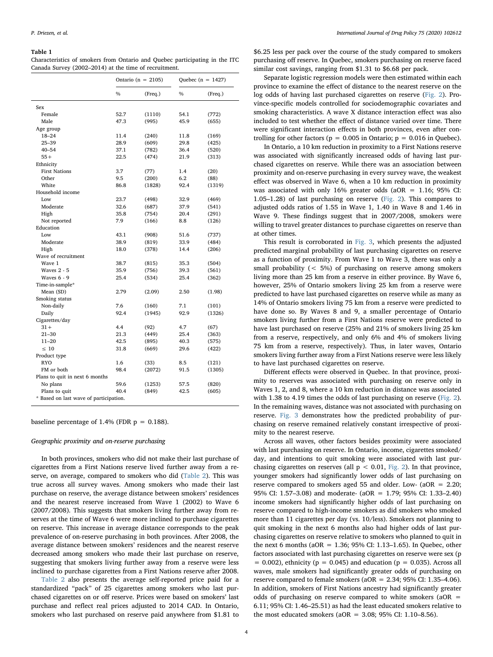#### <span id="page-3-0"></span>Table 1

Characteristics of smokers from Ontario and Quebec participating in the ITC Canada Survey (2002–2014) at the time of recruitment.

|                                        |               | Ontario ( $n = 2105$ ) | Quebec ( $n = 1427$ ) |         |  |  |  |  |
|----------------------------------------|---------------|------------------------|-----------------------|---------|--|--|--|--|
|                                        | $\frac{0}{0}$ | (Freq.)                | $\frac{0}{0}$         | (Freq.) |  |  |  |  |
| Sex                                    |               |                        |                       |         |  |  |  |  |
| Female                                 | 52.7          | (1110)                 | 54.1                  | (772)   |  |  |  |  |
| Male                                   | 47.3          | (995)                  | 45.9                  | (655)   |  |  |  |  |
| Age group                              |               |                        |                       |         |  |  |  |  |
| $18 - 24$                              | 11.4          | (240)                  | 11.8                  | (169)   |  |  |  |  |
| $25 - 39$                              | 28.9          | (609)                  | 29.8                  | (425)   |  |  |  |  |
| $40 - 54$                              | 37.1          | (782)                  | 36.4                  | (520)   |  |  |  |  |
| $55+$                                  | 22.5          | (474)                  | 21.9                  | (313)   |  |  |  |  |
| Ethnicity                              |               |                        |                       |         |  |  |  |  |
| <b>First Nations</b>                   | 3.7           | (77)                   | 1.4                   | (20)    |  |  |  |  |
| Other                                  | 9.5           | (200)                  | 6.2                   | (88)    |  |  |  |  |
| White                                  | 86.8          | (1828)                 | 92.4                  | (1319)  |  |  |  |  |
| Household income                       |               |                        |                       |         |  |  |  |  |
| Low                                    | 23.7          | (498)                  | 32.9                  | (469)   |  |  |  |  |
| Moderate                               | 32.6          | (687)                  | 37.9                  | (541)   |  |  |  |  |
| High                                   | 35.8          | (754)                  | 20.4                  | (291)   |  |  |  |  |
| Not reported                           | 7.9           | (166)                  | 8.8                   | (126)   |  |  |  |  |
| Education                              |               |                        |                       |         |  |  |  |  |
| Low                                    | 43.1          | (908)                  | 51.6                  | (737)   |  |  |  |  |
| Moderate                               | 38.9          | (819)                  | 33.9                  | (484)   |  |  |  |  |
| High                                   | 18.0          | (378)                  | 14.4                  | (206)   |  |  |  |  |
| Wave of recruitment                    |               |                        |                       |         |  |  |  |  |
| Wave 1                                 | 38.7          | (815)                  | 35.3                  | (504)   |  |  |  |  |
| <b>Waves 2 - 5</b>                     | 35.9          | (756)                  | 39.3                  | (561)   |  |  |  |  |
| Waves $6 - 9$                          | 25.4          | (534)                  | 25.4                  | (362)   |  |  |  |  |
| Time-in-sample*                        |               |                        |                       |         |  |  |  |  |
| Mean (SD)                              | 2.79          | (2.09)                 | 2.50                  | (1.98)  |  |  |  |  |
| Smoking status                         |               |                        |                       |         |  |  |  |  |
| Non-daily                              | 7.6           | (160)                  | 7.1                   | (101)   |  |  |  |  |
| Daily                                  | 92.4          | (1945)                 | 92.9                  | (1326)  |  |  |  |  |
| Cigarettes/day                         |               |                        |                       |         |  |  |  |  |
| $31 +$                                 | 4.4           | (92)                   | 4.7                   | (67)    |  |  |  |  |
| $21 - 30$                              | 21.3          | (449)                  | 25.4                  | (363)   |  |  |  |  |
| $11 - 20$                              | 42.5          | (895)                  | 40.3                  | (575)   |  |  |  |  |
| $\leq 10$                              | 31.8          | (669)                  | 29.6                  | (422)   |  |  |  |  |
| Product type                           |               |                        |                       |         |  |  |  |  |
| <b>RYO</b>                             | 1.6           | (33)                   | 8.5                   | (121)   |  |  |  |  |
| FM or both                             | 98.4          | (2072)                 | 91.5                  | (1305)  |  |  |  |  |
| Plans to quit in next 6 months         |               |                        |                       |         |  |  |  |  |
| No plans                               | 59.6          | (1253)                 | 57.5                  | (820)   |  |  |  |  |
| Plans to quit                          | 40.4          | (849)                  | 42.5                  | (605)   |  |  |  |  |
| * Based on last wave of participation. |               |                        |                       |         |  |  |  |  |

baseline percentage of 1.4% (FDR  $p = 0.188$ ).

# Geographic proximity and on-reserve purchasing

In both provinces, smokers who did not make their last purchase of cigarettes from a First Nations reserve lived further away from a reserve, on average, compared to smokers who did ([Table 2\)](#page-4-1). This was true across all survey waves. Among smokers who made their last purchase on reserve, the average distance between smokers' residences and the nearest reserve increased from Wave 1 (2002) to Wave 6 (2007/2008). This suggests that smokers living further away from reserves at the time of Wave 6 were more inclined to purchase cigarettes on reserve. This increase in average distance corresponds to the peak prevalence of on-reserve purchasing in both provinces. After 2008, the average distance between smokers' residences and the nearest reserve decreased among smokers who made their last purchase on reserve, suggesting that smokers living further away from a reserve were less inclined to purchase cigarettes from a First Nations reserve after 2008.

[Table 2](#page-4-1) also presents the average self-reported price paid for a standardized "pack" of 25 cigarettes among smokers who last purchased cigarettes on or off reserve. Prices were based on smokers' last purchase and reflect real prices adjusted to 2014 CAD. In Ontario, smokers who last purchased on reserve paid anywhere from \$1.81 to

\$6.25 less per pack over the course of the study compared to smokers purchasing off reserve. In Quebec, smokers purchasing on reserve faced similar cost savings, ranging from \$1.31 to \$6.68 per pack.

Separate logistic regression models were then estimated within each province to examine the effect of distance to the nearest reserve on the log odds of having last purchased cigarettes on reserve ([Fig. 2\)](#page-5-0). Province-specific models controlled for sociodemographic covariates and smoking characteristics. A wave X distance interaction effect was also included to test whether the effect of distance varied over time. There were significant interaction effects in both provinces, even after controlling for other factors ( $p = 0.005$  in Ontario;  $p = 0.016$  in Ouebec).

In Ontario, a 10 km reduction in proximity to a First Nations reserve was associated with significantly increased odds of having last purchased cigarettes on reserve. While there was an association between proximity and on-reserve purchasing in every survey wave, the weakest effect was observed in Wave 6, when a 10 km reduction in proximity was associated with only 16% greater odds (aOR = 1.16; 95% CI: 1.05–1.28) of last purchasing on reserve ([Fig. 2](#page-5-0)). This compares to adjusted odds ratios of 1.55 in Wave 1, 1.40 in Wave 8 and 1.46 in Wave 9. These findings suggest that in 2007/2008, smokers were willing to travel greater distances to purchase cigarettes on reserve than at other times.

This result is corroborated in [Fig. 3](#page-6-0), which presents the adjusted predicted marginal probability of last purchasing cigarettes on reserve as a function of proximity. From Wave 1 to Wave 3, there was only a small probability (< 5%) of purchasing on reserve among smokers living more than 25 km from a reserve in either province. By Wave 6, however, 25% of Ontario smokers living 25 km from a reserve were predicted to have last purchased cigarettes on reserve while as many as 14% of Ontario smokers living 75 km from a reserve were predicted to have done so. By Waves 8 and 9, a smaller percentage of Ontario smokers living further from a First Nations reserve were predicted to have last purchased on reserve (25% and 21% of smokers living 25 km from a reserve, respectively, and only 6% and 4% of smokers living 75 km from a reserve, respectively). Thus, in later waves, Ontario smokers living further away from a First Nations reserve were less likely to have last purchased cigarettes on reserve.

Different effects were observed in Quebec. In that province, proximity to reserves was associated with purchasing on reserve only in Waves 1, 2, and 8, where a 10 km reduction in distance was associated with 1.38 to 4.19 times the odds of last purchasing on reserve [\(Fig. 2](#page-5-0)). In the remaining waves, distance was not associated with purchasing on reserve. [Fig. 3](#page-6-0) demonstrates how the predicted probability of purchasing on reserve remained relatively constant irrespective of proximity to the nearest reserve.

Across all waves, other factors besides proximity were associated with last purchasing on reserve. In Ontario, income, cigarettes smoked/ day, and intentions to quit smoking were associated with last purchasing cigarettes on reserves (all  $p < 0.01$ , [Fig. 2\)](#page-5-0). In that province, younger smokers had significantly lower odds of last purchasing on reserve compared to smokers aged 55 and older. Low- (aOR = 2.20; 95% CI: 1.57–3.08) and moderate- (aOR = 1.79; 95% CI: 1.33–2.40) income smokers had significantly higher odds of last purchasing on reserve compared to high-income smokers as did smokers who smoked more than 11 cigarettes per day (vs. 10/less). Smokers not planning to quit smoking in the next 6 months also had higher odds of last purchasing cigarettes on reserve relative to smokers who planned to quit in the next 6 months (aOR = 1.36; 95% CI: 1.13–1.65). In Quebec, other factors associated with last purchasing cigarettes on reserve were sex (p  $= 0.002$ ), ethnicity ( $p = 0.045$ ) and education ( $p = 0.035$ ). Across all waves, male smokers had significantly greater odds of purchasing on reserve compared to female smokers ( $aOR = 2.34$ ; 95% CI: 1.35–4.06). In addition, smokers of First Nations ancestry had significantly greater odds of purchasing on reserve compared to white smokers (aOR  $=$ 6.11; 95% CI: 1.46–25.51) as had the least educated smokers relative to the most educated smokers (aOR = 3.08; 95% CI: 1.10–8.56).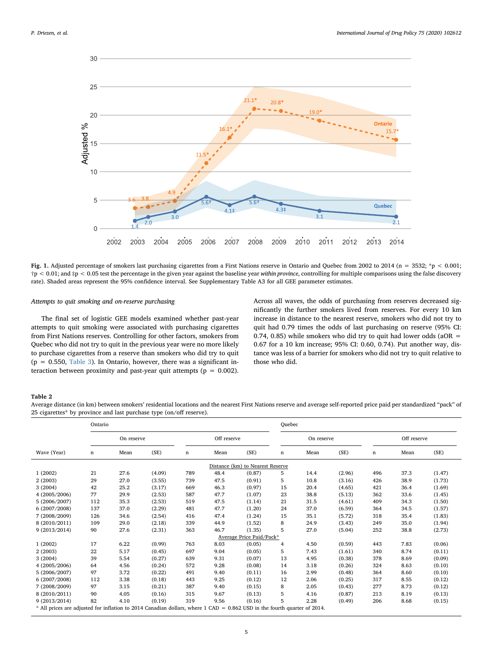<span id="page-4-0"></span>

Fig. 1. Adjusted percentage of smokers last purchasing cigarettes from a First Nations reserve in Ontario and Quebec from 2002 to 2014 (n = 3532; \*p < 0.001;  $\uparrow$  p < 0.01; and  $\uparrow$  p < 0.05 test the percentage in the given year against the baseline year within province, controlling for multiple comparisons using the false discovery rate). Shaded areas represent the 95% confidence interval. See Supplementary Table A3 for all GEE parameter estimates.

# Attempts to quit smoking and on-reserve purchasing

The final set of logistic GEE models examined whether past-year attempts to quit smoking were associated with purchasing cigarettes from First Nations reserves. Controlling for other factors, smokers from Quebec who did not try to quit in the previous year were no more likely to purchase cigarettes from a reserve than smokers who did try to quit  $(p = 0.550,$  [Table 3](#page-7-0)). In Ontario, however, there was a significant interaction between proximity and past-year quit attempts ( $p = 0.002$ ).

Across all waves, the odds of purchasing from reserves decreased significantly the further smokers lived from reserves. For every 10 km increase in distance to the nearest reserve, smokers who did not try to quit had 0.79 times the odds of last purchasing on reserve (95% CI: 0.74, 0.85) while smokers who did try to quit had lower odds (aOR = 0.67 for a 10 km increase; 95% CI: 0.60, 0.74). Put another way, distance was less of a barrier for smokers who did not try to quit relative to those who did.

## <span id="page-4-1"></span>Table 2

Average distance (in km) between smokers' residential locations and the nearest First Nations reserve and average self-reported price paid per standardized "pack" of 25 cigarettes\* by province and last purchase type (on/off reserve).

|                                                                                                                          | Ontario    |      |        |             |      |                          | Quebec     |      |        |             |      |        |
|--------------------------------------------------------------------------------------------------------------------------|------------|------|--------|-------------|------|--------------------------|------------|------|--------|-------------|------|--------|
|                                                                                                                          | On reserve |      |        | Off reserve |      |                          | On reserve |      |        | Off reserve |      |        |
| Wave (Year)                                                                                                              | n          | Mean | (SE)   | n           | Mean | (SE)                     | n          | Mean | (SE)   | n           | Mean | (SE)   |
| Distance (km) to Nearest Reserve                                                                                         |            |      |        |             |      |                          |            |      |        |             |      |        |
| 1(2002)                                                                                                                  | 21         | 27.6 | (4.09) | 789         | 48.4 | (0.87)                   | 5          | 14.4 | (2.96) | 496         | 37.3 | (1.47) |
| 2(2003)                                                                                                                  | 29         | 27.0 | (3.55) | 739         | 47.5 | (0.91)                   | 5          | 10.8 | (3.16) | 426         | 38.9 | (1.73) |
| 3(2004)                                                                                                                  | 42         | 25.2 | (3.17) | 669         | 46.3 | (0.97)                   | 15         | 20.4 | (4.65) | 421         | 36.4 | (1.69) |
| 4 (2005/2006)                                                                                                            | 77         | 29.9 | (2.53) | 587         | 47.7 | (1.07)                   | 23         | 38.8 | (5.13) | 362         | 33.6 | (1.45) |
| 5 (2006/2007)                                                                                                            | 112        | 35.3 | (2.53) | 519         | 47.5 | (1.14)                   | 21         | 31.5 | (4.61) | 409         | 34.3 | (1.50) |
| 6(2007/2008)                                                                                                             | 137        | 37.0 | (2.29) | 481         | 47.7 | (1.20)                   | 24         | 37.0 | (6.59) | 364         | 34.5 | (1.57) |
| 7 (2008/2009)                                                                                                            | 126        | 34.6 | (2.54) | 416         | 47.4 | (1.24)                   | 15         | 35.1 | (5.72) | 318         | 35.4 | (1.83) |
| 8 (2010/2011)                                                                                                            | 109        | 29.0 | (2.18) | 339         | 44.9 | (1.52)                   | 8          | 24.9 | (3.43) | 249         | 35.0 | (1.94) |
| 9(2013/2014)                                                                                                             | 90         | 27.6 | (2.31) | 363         | 46.7 | (1.35)                   | 5          | 27.0 | (5.04) | 252         | 38.8 | (2.73) |
|                                                                                                                          |            |      |        |             |      | Average Price Paid/Pack* |            |      |        |             |      |        |
| 1(2002)                                                                                                                  | 17         | 6.22 | (0.99) | 763         | 8.03 | (0.05)                   | 4          | 4.50 | (0.59) | 443         | 7.83 | (0.06) |
| 2(2003)                                                                                                                  | 22         | 5.17 | (0.45) | 697         | 9.04 | (0.05)                   | 5          | 7.43 | (1.61) | 340         | 8.74 | (0.11) |
| 3(2004)                                                                                                                  | 39         | 5.54 | (0.27) | 639         | 9.31 | (0.07)                   | 13         | 4.95 | (0.38) | 378         | 8.69 | (0.09) |
| 4 (2005/2006)                                                                                                            | 64         | 4.56 | (0.24) | 572         | 9.28 | (0.08)                   | 14         | 3.18 | (0.26) | 324         | 8.63 | (0.10) |
| 5 (2006/2007)                                                                                                            | 97         | 3.72 | (0.22) | 491         | 9.40 | (0.11)                   | 16         | 2.99 | (0.48) | 364         | 8.60 | (0.10) |
| 6(2007/2008)                                                                                                             | 112        | 3.38 | (0.18) | 443         | 9.25 | (0.12)                   | 12         | 2.06 | (0.25) | 317         | 8.55 | (0.12) |
| 7 (2008/2009)                                                                                                            | 97         | 3.15 | (0.21) | 387         | 9.40 | (0.15)                   | 8          | 2.05 | (0.43) | 277         | 8.73 | (0.12) |
| 8 (2010/2011)                                                                                                            | 90         | 4.05 | (0.16) | 315         | 9.67 | (0.13)                   | 5          | 4.16 | (0.87) | 213         | 8.19 | (0.13) |
| 9(2013/2014)                                                                                                             | 82         | 4.10 | (0.19) | 319         | 9.56 | (0.16)                   | 5          | 2.28 | (0.49) | 206         | 8.68 | (0.15) |
| * All prices are adjusted for inflation to 2014 Canadian dollars, where 1 CAD = 0.862 USD in the fourth quarter of 2014. |            |      |        |             |      |                          |            |      |        |             |      |        |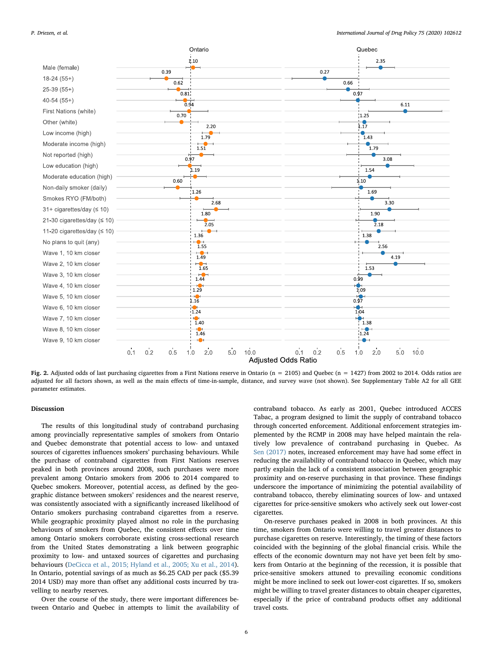<span id="page-5-0"></span>

Fig. 2. Adjusted odds of last purchasing cigarettes from a First Nations reserve in Ontario (n = 2105) and Quebec (n = 1427) from 2002 to 2014. Odds ratios are adjusted for all factors shown, as well as the main effects of time-in-sample, distance, and survey wave (not shown). See Supplementary Table A2 for all GEE parameter estimates.

# Discussion

The results of this longitudinal study of contraband purchasing among provincially representative samples of smokers from Ontario and Quebec demonstrate that potential access to low- and untaxed sources of cigarettes influences smokers' purchasing behaviours. While the purchase of contraband cigarettes from First Nations reserves peaked in both provinces around 2008, such purchases were more prevalent among Ontario smokers from 2006 to 2014 compared to Quebec smokers. Moreover, potential access, as defined by the geographic distance between smokers' residences and the nearest reserve, was consistently associated with a significantly increased likelihood of Ontario smokers purchasing contraband cigarettes from a reserve. While geographic proximity played almost no role in the purchasing behaviours of smokers from Quebec, the consistent effects over time among Ontario smokers corroborate existing cross-sectional research from the United States demonstrating a link between geographic proximity to low- and untaxed sources of cigarettes and purchasing behaviours ([DeCicca et al., 2015; Hyland et al., 2005; Xu et al., 2014](#page-8-5)). In Ontario, potential savings of as much as \$6.25 CAD per pack (\$5.39 2014 USD) may more than offset any additional costs incurred by travelling to nearby reserves.

Over the course of the study, there were important differences between Ontario and Quebec in attempts to limit the availability of contraband tobacco. As early as 2001, Quebec introduced ACCES Tabac, a program designed to limit the supply of contraband tobacco through concerted enforcement. Additional enforcement strategies implemented by the RCMP in 2008 may have helped maintain the relatively low prevalence of contraband purchasing in Quebec. As [Sen \(2017\)](#page-9-3) notes, increased enforcement may have had some effect in reducing the availability of contraband tobacco in Quebec, which may partly explain the lack of a consistent association between geographic proximity and on-reserve purchasing in that province. These findings underscore the importance of minimizing the potential availability of contraband tobacco, thereby eliminating sources of low- and untaxed cigarettes for price-sensitive smokers who actively seek out lower-cost cigarettes.

On-reserve purchases peaked in 2008 in both provinces. At this time, smokers from Ontario were willing to travel greater distances to purchase cigarettes on reserve. Interestingly, the timing of these factors coincided with the beginning of the global financial crisis. While the effects of the economic downturn may not have yet been felt by smokers from Ontario at the beginning of the recession, it is possible that price-sensitive smokers attuned to prevailing economic conditions might be more inclined to seek out lower-cost cigarettes. If so, smokers might be willing to travel greater distances to obtain cheaper cigarettes, especially if the price of contraband products offset any additional travel costs.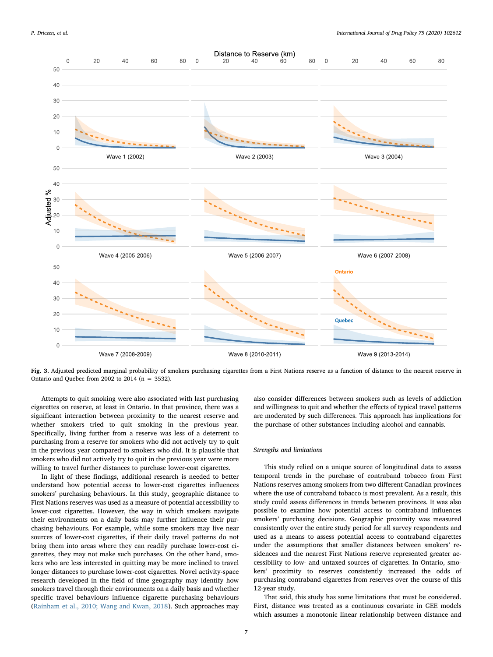<span id="page-6-0"></span>

Fig. 3. Adjusted predicted marginal probability of smokers purchasing cigarettes from a First Nations reserve as a function of distance to the nearest reserve in Ontario and Quebec from 2002 to 2014 ( $n = 3532$ ).

Attempts to quit smoking were also associated with last purchasing cigarettes on reserve, at least in Ontario. In that province, there was a significant interaction between proximity to the nearest reserve and whether smokers tried to quit smoking in the previous year. Specifically, living further from a reserve was less of a deterrent to purchasing from a reserve for smokers who did not actively try to quit in the previous year compared to smokers who did. It is plausible that smokers who did not actively try to quit in the previous year were more willing to travel further distances to purchase lower-cost cigarettes.

In light of these findings, additional research is needed to better understand how potential access to lower-cost cigarettes influences smokers' purchasing behaviours. In this study, geographic distance to First Nations reserves was used as a measure of potential accessibility to lower-cost cigarettes. However, the way in which smokers navigate their environments on a daily basis may further influence their purchasing behaviours. For example, while some smokers may live near sources of lower-cost cigarettes, if their daily travel patterns do not bring them into areas where they can readily purchase lower-cost cigarettes, they may not make such purchases. On the other hand, smokers who are less interested in quitting may be more inclined to travel longer distances to purchase lower-cost cigarettes. Novel activity-space research developed in the field of time geography may identify how smokers travel through their environments on a daily basis and whether specific travel behaviours influence cigarette purchasing behaviours ([Rainham et al., 2010; Wang and Kwan, 2018](#page-9-7)). Such approaches may

also consider differences between smokers such as levels of addiction and willingness to quit and whether the effects of typical travel patterns are moderated by such differences. This approach has implications for the purchase of other substances including alcohol and cannabis.

### Strengths and limitations

This study relied on a unique source of longitudinal data to assess temporal trends in the purchase of contraband tobacco from First Nations reserves among smokers from two different Canadian provinces where the use of contraband tobacco is most prevalent. As a result, this study could assess differences in trends between provinces. It was also possible to examine how potential access to contraband influences smokers' purchasing decisions. Geographic proximity was measured consistently over the entire study period for all survey respondents and used as a means to assess potential access to contraband cigarettes under the assumptions that smaller distances between smokers' residences and the nearest First Nations reserve represented greater accessibility to low- and untaxed sources of cigarettes. In Ontario, smokers' proximity to reserves consistently increased the odds of purchasing contraband cigarettes from reserves over the course of this 12-year study.

That said, this study has some limitations that must be considered. First, distance was treated as a continuous covariate in GEE models which assumes a monotonic linear relationship between distance and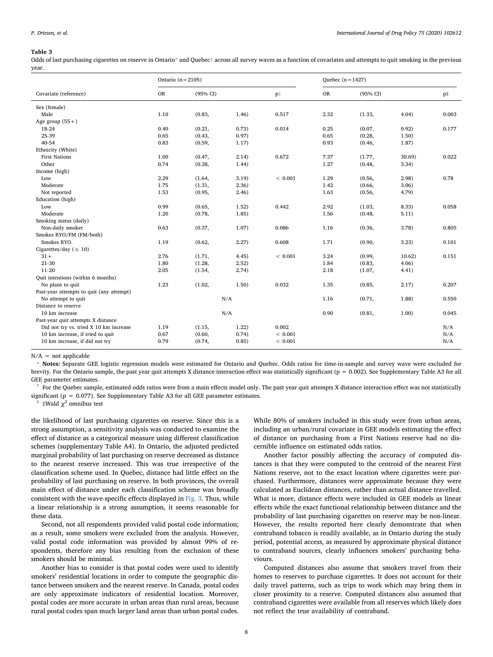#### <span id="page-7-0"></span>Table 3

Odds of last purchasing cigarettes on reserve in Ontario[\\*](#page-7-1) and Quebec[†](#page-7-2) across all survey waves as a function of covariates and attempts to quit smoking in the previous year.

|                                          | Ontario ( $n = 2105$ ) |        |        |         | Quebec $(n=1427)$ |          |        |       |  |
|------------------------------------------|------------------------|--------|--------|---------|-------------------|----------|--------|-------|--|
| Covariate (reference)                    | <b>OR</b><br>(95% CI)  |        |        | p‡      | OR                | (95% CI) |        | p‡    |  |
| Sex (female)                             |                        |        |        |         |                   |          |        |       |  |
| Male                                     | 1.10                   | (0.83, | 1.46)  | 0.517   | 2.32              | (1.33,   | 4.04)  | 0.003 |  |
| Age group $(55+)$                        |                        |        |        |         |                   |          |        |       |  |
| 18-24                                    | 0.40                   | (0.21, | 0.73)  | 0.014   | 0.25              | (0.07,   | 0.92)  | 0.177 |  |
| 25-39                                    | 0.65                   | (0.43, | 0.97)  |         | 0.65              | (0.28,   | 1.50)  |       |  |
| 40-54                                    | 0.83                   | (0.59, | 1.17)  |         | 0.93              | (0.46,   | 1.87)  |       |  |
| Ethnicity (White)                        |                        |        |        |         |                   |          |        |       |  |
| <b>First Nations</b>                     | 1.00                   | (0.47, | 2.14)  | 0.672   | 7.37              | (1.77,   | 30.69) | 0.022 |  |
| Other                                    | 0.74                   | (0.38, | 1.44)  |         | 1.27              | (0.48,   | 3.34)  |       |  |
| Income (high)                            |                        |        |        |         |                   |          |        |       |  |
| Low                                      | 2.29                   | (1.64, | 3.19)  | < 0.001 | 1.29              | (0.56,   | 2.98   | 0.78  |  |
| Moderate                                 | 1.75                   | (1.31, | 2.36)  |         | 1.42              | (0.66,   | 3.06)  |       |  |
| Not reported                             | 1.53                   | (0.95, | (2.46) |         | 1.63              | (0.56,   | 4.79)  |       |  |
| Education (high)                         |                        |        |        |         |                   |          |        |       |  |
| Low                                      | 0.99                   | (0.65, | 1.52)  | 0.442   | 2.92              | (1.03,   | 8.33)  | 0.058 |  |
| Moderate                                 | 1.20                   | (0.78, | 1.85)  |         | 1.56              | (0.48,   | 5.11)  |       |  |
| Smoking status (daily)                   |                        |        |        |         |                   |          |        |       |  |
| Non-daily smoker                         | 0.63                   | (0.37, | 1.07)  | 0.086   | 1.16              | (0.36,   | 3.78)  | 0.805 |  |
| Smokes RYO/FM (FM/both)                  |                        |        |        |         |                   |          |        |       |  |
| Smokes RYO                               | 1.19                   | (0.62, | 2.27)  | 0.608   | 1.71              | (0.90,   | 3.23)  | 0.101 |  |
| Cigarettes/day ( $\leq 10$ )             |                        |        |        |         |                   |          |        |       |  |
| $31 +$                                   | 2.76                   | (1.71, | 4.45)  | < 0.001 | 3.24              | (0.99,   | 10.62) | 0.151 |  |
| 21-30                                    | 1.80                   | (1.28, | 2.52)  |         | 1.84              | (0.83,   | 4.06   |       |  |
| 11-20                                    | 2.05                   | (1.54, | 2.74)  |         | 2.18              | (1.07,   | 4.41)  |       |  |
| Quit intentions (within 6 months)        |                        |        |        |         |                   |          |        |       |  |
| No plans to quit                         | 1.23                   | (1.02, | 1.50)  | 0.032   | 1.35              | (0.85,   | 2.17)  | 0.207 |  |
| Past-year attempts to quit (any attempt) |                        |        |        |         |                   |          |        |       |  |
| No attempt to quit                       |                        |        | N/A    |         | 1.16              | (0.71,   | 1.88)  | 0.550 |  |
| Distance to reserve                      |                        |        |        |         |                   |          |        |       |  |
| 10 km increase                           |                        |        | N/A    |         | 0.90              | (0.81,   | 1.00)  | 0.045 |  |
| Past-year quit attempts X distance       |                        |        |        |         |                   |          |        |       |  |
| Did not try vs. tried X 10 km increase   | 1.19                   | (1.15, | 1.22)  | 0.002   |                   |          |        | N/A   |  |
| 10 km increase, if tried to quit         | 0.67                   | (0.60, | 0.74)  | < 0.001 |                   |          |        | N/A   |  |
| 10 km increase, if did not try           | 0.79                   | (0.74, | 0.85)  | < 0.001 |                   |          |        | N/A   |  |

 $N/A$  = not applicable

<span id="page-7-1"></span>⁎ Notes: Separate GEE logistic regression models were estimated for Ontario and Quebec. Odds ratios for time-in-sample and survey wave were excluded for brevity. For the Ontario sample, the past year quit attempts X distance interaction effect was statistically significant (p = 0.002). See Supplementary Table A3 for all GEE parameter estimates.

<span id="page-7-2"></span>† For the Quebec sample, estimated odds ratios were from a main effects model only. The past year quit attempts X distance interaction effect was not statistically significant ( $p = 0.077$ ). See Supplementary Table A3 for all GEE parameter estimates.

<span id="page-7-3"></span>‡Wald  $\chi^2$  omnibus test

the likelihood of last purchasing cigarettes on reserve. Since this is a strong assumption, a sensitivity analysis was conducted to examine the effect of distance as a categorical measure using different classification schemes (supplementary Table A4). In Ontario, the adjusted predicted marginal probability of last purchasing on reserve decreased as distance to the nearest reserve increased. This was true irrespective of the classification scheme used. In Quebec, distance had little effect on the probability of last purchasing on reserve. In both provinces, the overall main effect of distance under each classification scheme was broadly consistent with the wave-specific effects displayed in [Fig. 3.](#page-6-0) Thus, while a linear relationship is a strong assumption, it seems reasonable for these data.

Second, not all respondents provided valid postal code information; as a result, some smokers were excluded from the analysis. However, valid postal code information was provided by almost 99% of respondents, therefore any bias resulting from the exclusion of these smokers should be minimal.

Another bias to consider is that postal codes were used to identify smokers' residential locations in order to compute the geographic distance between smokers and the nearest reserve. In Canada, postal codes are only approximate indicators of residential location. Moreover, postal codes are more accurate in urban areas than rural areas, because rural postal codes span much larger land areas than urban postal codes.

While 80% of smokers included in this study were from urban areas, including an urban/rural covariate in GEE models estimating the effect of distance on purchasing from a First Nations reserve had no discernible influence on estimated odds ratios.

Another factor possibly affecting the accuracy of computed distances is that they were computed to the centroid of the nearest First Nations reserve, not to the exact location where cigarettes were purchased. Furthermore, distances were approximate because they were calculated as Euclidean distances, rather than actual distance travelled. What is more, distance effects were included in GEE models as linear effects while the exact functional relationship between distance and the probability of last purchasing cigarettes on reserve may be non-linear. However, the results reported here clearly demonstrate that when contraband tobacco is readily available, as in Ontario during the study period, potential access, as measured by approximate physical distance to contraband sources, clearly influences smokers' purchasing behaviours.

Computed distances also assume that smokers travel from their homes to reserves to purchase cigarettes. It does not account for their daily travel patterns, such as trips to work which may bring them in closer proximity to a reserve. Computed distances also assumed that contraband cigarettes were available from all reserves which likely does not reflect the true availability of contraband.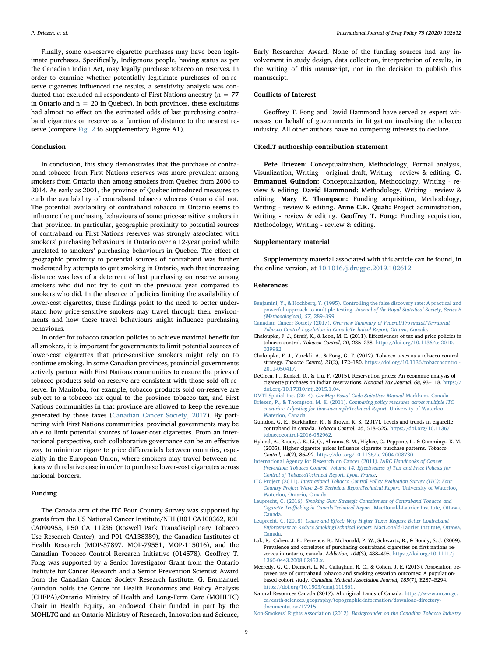Finally, some on-reserve cigarette purchases may have been legitimate purchases. Specifically, Indigenous people, having status as per the Canadian Indian Act, may legally purchase tobacco on reserves. In order to examine whether potentially legitimate purchases of on-reserve cigarettes influenced the results, a sensitivity analysis was conducted that excluded all respondents of First Nations ancestry ( $n = 77$ ) in Ontario and  $n = 20$  in Quebec). In both provinces, these exclusions had almost no effect on the estimated odds of last purchasing contraband cigarettes on reserve as a function of distance to the nearest reserve (compare [Fig. 2](#page-5-0) to Supplementary Figure A1).

# Conclusion

In conclusion, this study demonstrates that the purchase of contraband tobacco from First Nations reserves was more prevalent among smokers from Ontario than among smokers from Quebec from 2006 to 2014. As early as 2001, the province of Quebec introduced measures to curb the availability of contraband tobacco whereas Ontario did not. The potential availability of contraband tobacco in Ontario seems to influence the purchasing behaviours of some price-sensitive smokers in that province. In particular, geographic proximity to potential sources of contraband on First Nations reserves was strongly associated with smokers' purchasing behaviours in Ontario over a 12-year period while unrelated to smokers' purchasing behaviours in Quebec. The effect of geographic proximity to potential sources of contraband was further moderated by attempts to quit smoking in Ontario, such that increasing distance was less of a deterrent of last purchasing on reserve among smokers who did not try to quit in the previous year compared to smokers who did. In the absence of policies limiting the availability of lower-cost cigarettes, these findings point to the need to better understand how price-sensitive smokers may travel through their environments and how these travel behaviours might influence purchasing behaviours.

In order for tobacco taxation policies to achieve maximal benefit for all smokers, it is important for governments to limit potential sources of lower-cost cigarettes that price-sensitive smokers might rely on to continue smoking. In some Canadian provinces, provincial governments actively partner with First Nations communities to ensure the prices of tobacco products sold on-reserve are consistent with those sold off-reserve. In Manitoba, for example, tobacco products sold on-reserve are subject to a tobacco tax equal to the province tobacco tax, and First Nations communities in that province are allowed to keep the revenue generated by those taxes ([Canadian Cancer Society, 2017](#page-8-12)). By partnering with First Nations communities, provincial governments may be able to limit potential sources of lower-cost cigarettes. From an international perspective, such collaborative governance can be an effective way to minimize cigarette price differentials between countries, especially in the European Union, where smokers may travel between nations with relative ease in order to purchase lower-cost cigarettes across national borders.

# Funding

The Canada arm of the ITC Four Country Survey was supported by grants from the US National Cancer Institute/NIH (R01 CA100362, R01 CA090955, P50 CA111236 (Roswell Park Transdisciplinary Tobacco Use Research Center), and P01 CA138389), the Canadian Institutes of Health Research (MOP-57897, MOP-79551, MOP-115016), and the Canadian Tobacco Control Research Initiative (014578). Geoffrey T. Fong was supported by a Senior Investigator Grant from the Ontario Institute for Cancer Research and a Senior Prevention Scientist Award from the Canadian Cancer Society Research Institute. G. Emmanuel Guindon holds the Centre for Health Economics and Policy Analysis (CHEPA)/Ontario Ministry of Health and Long-Term Care (MOHLTC) Chair in Health Equity, an endowed Chair funded in part by the MOHLTC and an Ontario Ministry of Research, Innovation and Science,

Early Researcher Award. None of the funding sources had any involvement in study design, data collection, interpretation of results, in the writing of this manuscript, nor in the decision to publish this manuscript.

# Conflicts of Interest

Geoffrey T. Fong and David Hammond have served as expert witnesses on behalf of governments in litigation involving the tobacco industry. All other authors have no competing interests to declare.

## CRediT authorship contribution statement

Pete Driezen: Conceptualization, Methodology, Formal analysis, Visualization, Writing - original draft, Writing - review & editing. G. Emmanuel Guindon: Conceptualization, Methodology, Writing - review & editing. David Hammond: Methodology, Writing - review & editing. Mary E. Thompson: Funding acquisition, Methodology, Writing - review & editing. Anne C.K. Quah: Project administration, Writing - review & editing. Geoffrey T. Fong: Funding acquisition, Methodology, Writing - review & editing.

### Supplementary material

Supplementary material associated with this article can be found, in the online version, at [10.1016/j.drugpo.2019.102612](https://doi.org/10.1016/j.drugpo.2019.102612)

#### References

- <span id="page-8-11"></span>[Benjamini, Y., & Hochberg, Y. \(1995\). Controlling the false discovery rate: A practical and](http://refhub.elsevier.com/S0955-3959(19)30326-3/sbref0001) powerful approach to multiple testing. [Journal of the Royal Statistical Society, Series B](http://refhub.elsevier.com/S0955-3959(19)30326-3/sbref0001) [\(Methodological\), 57](http://refhub.elsevier.com/S0955-3959(19)30326-3/sbref0001), 289–399.
- <span id="page-8-12"></span>Canadian Cancer Society (2017). [Overview Summary of Federal/Provincial/Territorial](http://refhub.elsevier.com/S0955-3959(19)30326-3/sbref0002) [Tobacco Control Legislation in CanadaTechnical Report, Ottawa, Canada](http://refhub.elsevier.com/S0955-3959(19)30326-3/sbref0002).
- <span id="page-8-0"></span>Chaloupka, F. J., Straif, K., & Leon, M. E. (2011). Effectiveness of tax and price policies in tobacco control. Tobacco Control, 20, 235–238. [https://doi.org/10.1136/tc.2010.](https://doi.org/10.1136/tc.2010.039982) [039982](https://doi.org/10.1136/tc.2010.039982).
- Chaloupka, F. J., Yurekli, A., & Fong, G. T. (2012). Tobacco taxes as a tobacco control strategy. Tobacco Control, 21(2), 172–180. [https://doi.org/10.1136/tobaccocontrol-](https://doi.org/10.1136/tobaccocontrol-2011-050417)[2011-050417](https://doi.org/10.1136/tobaccocontrol-2011-050417).
- <span id="page-8-5"></span>DeCicca, P., Kenkel, D., & Liu, F. (2015). Reservation prices: An economic analysis of cigarette purchases on indian reservations. National Tax Journal, 68, 93–118. [https://](https://doi.org/10.17310/ntj.2015.1.04) [doi.org/10.17310/ntj.2015.1.04.](https://doi.org/10.17310/ntj.2015.1.04)
- <span id="page-8-10"></span><span id="page-8-8"></span>DMTI Spatial Inc. (2014). [CanMap Postal Code SuiteUser Manual](http://refhub.elsevier.com/S0955-3959(19)30326-3/sbref0006) Markham, Canada Driezen, P., & Thompson, M. E. (2011). [Comparing policy measures across multiple ITC](http://refhub.elsevier.com/S0955-3959(19)30326-3/sbref0007) [countries: Adjusting for time-in-sampleTechnical Report](http://refhub.elsevier.com/S0955-3959(19)30326-3/sbref0007). University of Waterloo, [Waterloo, Canada](http://refhub.elsevier.com/S0955-3959(19)30326-3/sbref0007).
- <span id="page-8-4"></span>Guindon, G. E., Burkhalter, R., & Brown, K. S. (2017). Levels and trends in cigarette contraband in canada. Tobacco Control, 26, 518–525. [https://doi.org/10.1136/](https://doi.org/10.1136/tobaccocontrol-2016-052962) [tobaccocontrol-2016-052962](https://doi.org/10.1136/tobaccocontrol-2016-052962).
- Hyland, A., Bauer, J. E., Li, Q., Abrams, S. M., Higbee, C., Peppone, L., & Cummings, K. M. (2005). Higher cigarette prices influence cigarette purchase patterns. Tobacco Control, 14(2), 86–92. [https://doi.org/10.1136/tc.2004.008730.](https://doi.org/10.1136/tc.2004.008730)
- [International Agency for Research on Cancer \(2011\).](http://refhub.elsevier.com/S0955-3959(19)30326-3/sbref0010) IARC Handbooks of Cancer [Prevention: Tobacco Control, Volume 14. E](http://refhub.elsevier.com/S0955-3959(19)30326-3/sbref0010)ffectiveness of Tax and Price Policies for [Control of TobaccoTechnical Report, Lyon, France](http://refhub.elsevier.com/S0955-3959(19)30326-3/sbref0010).
- <span id="page-8-7"></span>ITC Project (2011). [International Tobacco Control Policy Evaluation Survey \(ITC\): Four](http://refhub.elsevier.com/S0955-3959(19)30326-3/sbref0011) Country Project Wave 2–[8 Technical ReportTechnical Report](http://refhub.elsevier.com/S0955-3959(19)30326-3/sbref0011). University of Waterloo, [Waterloo, Ontario, Canada.](http://refhub.elsevier.com/S0955-3959(19)30326-3/sbref0011)
- <span id="page-8-3"></span>Leuprecht, C. (2016). [Smoking Gun: Strategic Containment of Contraband Tobacco and](http://refhub.elsevier.com/S0955-3959(19)30326-3/sbref0012) Cigarette Trafficking in CanadaTechnical Report[. MacDonald-Laurier Institute, Ottawa,](http://refhub.elsevier.com/S0955-3959(19)30326-3/sbref0012) [Canada](http://refhub.elsevier.com/S0955-3959(19)30326-3/sbref0012).
- Leuprecht, C. (2018). Cause and Eff[ect: Why Higher Taxes Require Better Contraband](http://refhub.elsevier.com/S0955-3959(19)30326-3/sbref0013) [Enforcement to Reduce SmokingTechnical Report](http://refhub.elsevier.com/S0955-3959(19)30326-3/sbref0013). MacDonald-Laurier Institute, Ottawa, [Canada](http://refhub.elsevier.com/S0955-3959(19)30326-3/sbref0013).
- <span id="page-8-1"></span>Luk, R., Cohen, J. E., Ferrence, R., McDonald, P. W., Schwartz, R., & Bondy, S. J. (2009). Prevalence and correlates of purchasing contraband cigarettes on first nations reserves in ontario, canada. Addiction, 104(3), 488-495. [https://doi.org/10.1111/j.](https://doi.org/10.1111/j.1360-0443.2008.02453.x) [1360-0443.2008.02453.x](https://doi.org/10.1111/j.1360-0443.2008.02453.x).
- <span id="page-8-6"></span>Mecredy, G. C., Diemert, L. M., Callaghan, R. C., & Cohen, J. E. (2013). Association between use of contraband tobacco and smoking cessation outcomes: A populationbased cohort study. Canadian Medical Association Journal, 185(7), E287–E294. <https://doi.org/10.1503/cmaj.111861>.
- <span id="page-8-9"></span>Natural Resources Canada (2017). Aboriginal Lands of Canada. [https://www.nrcan.gc.](https://www.nrcan.gc.ca/earth-sciences/geography/topographic-information/download-directory-documentation/17215) [ca/earth-sciences/geography/topographic-information/download-directory](https://www.nrcan.gc.ca/earth-sciences/geography/topographic-information/download-directory-documentation/17215)[documentation/17215](https://www.nrcan.gc.ca/earth-sciences/geography/topographic-information/download-directory-documentation/17215).
- <span id="page-8-2"></span>Non-Smokers' Rights Association (2012). [Backgrounder on the Canadian Tobacco Industry](http://refhub.elsevier.com/S0955-3959(19)30326-3/sbref0016)